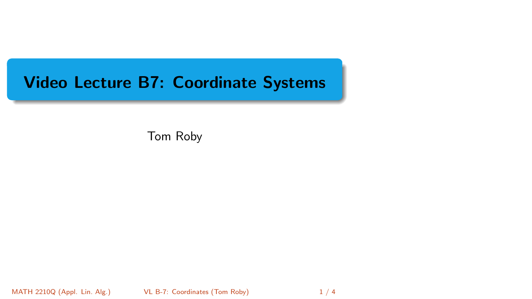# <span id="page-0-0"></span>Video Lecture B7: Coordinate Systems

Tom Roby

MATH 2210Q (Appl. Lin. Alg.) VL B-7: Coordinates (Tom Roby) 1/4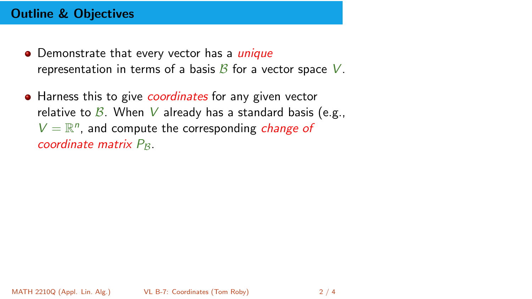## Outline & Objectives

- Demonstrate that every vector has a *unique* representation in terms of a basis  $\beta$  for a vector space V.
- Harness this to give *coordinates* for any given vector relative to  $\beta$ . When V already has a standard basis (e.g.,  $V = \mathbb{R}^n$ , and compute the corresponding *change of* coordinate matrix  $P_{\mathcal{B}}$ .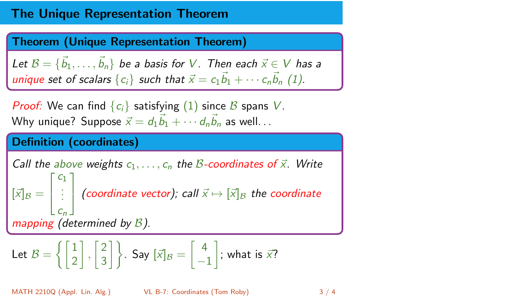## The Unique Representation Theorem

#### Theorem (Unique Representation Theorem)

Let  $\mathcal{B} = \{\vec{b}_1, \ldots, \vec{b}_n\}$  be a basis for  $V$ . Then each  $\vec{x} \in V$  has a unique set of scalars  $\{c_i\}$  such that  $\vec{x} = c_1 \vec{b}_1 + \cdots + c_n \vec{b}_n$  (1).

*Proof:* We can find  $\{c_i\}$  satisfying (1) since B spans V. Why unique? Suppose  $\vec{x} = d_1 \vec{b}_1 + \cdots d_n \vec{b}_n$  as well...

### Definition (coordinates)

Call the above weights 
$$
c_1, \ldots, c_n
$$
 the *B*-coordinates of  $\vec{x}$ . Write  $[\vec{x}]_B = \begin{bmatrix} c_1 \\ \vdots \\ c_n \end{bmatrix}$  (coordinate vector); call  $\vec{x} \mapsto [\vec{x}]_B$  the coordinate mapping (determined by *B*).

$$
\text{Let} \ \mathcal{B}=\left\{\begin{bmatrix}1\\2\end{bmatrix},\begin{bmatrix}2\\3\end{bmatrix}\right\}.\ \text{Say } [\vec{x}]_\mathcal{B}=\begin{bmatrix}4\\-1\end{bmatrix}; \text{ what is } \vec{x}?
$$